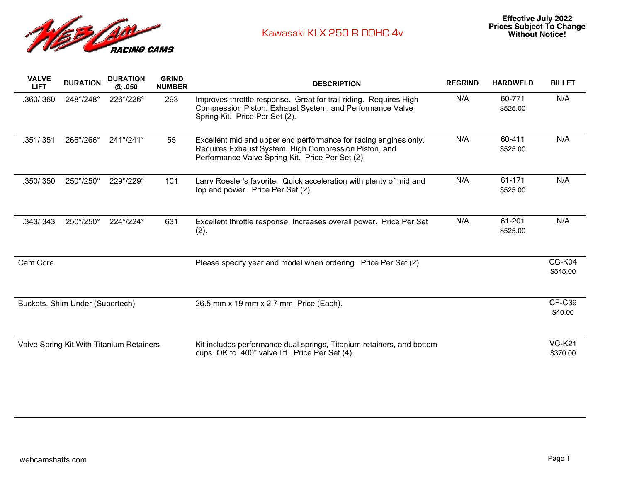

| <b>VALVE</b><br><b>LIFT</b>              | <b>DURATION</b> | <b>DURATION</b><br>@.050  | <b>GRIND</b><br><b>NUMBER</b> | <b>DESCRIPTION</b>                                                                                                                                                            | <b>REGRIND</b> | <b>HARDWELD</b>    | <b>BILLET</b>             |
|------------------------------------------|-----------------|---------------------------|-------------------------------|-------------------------------------------------------------------------------------------------------------------------------------------------------------------------------|----------------|--------------------|---------------------------|
| .360/.360                                | 248°/248°       | 226°/226°                 | 293                           | Improves throttle response. Great for trail riding. Requires High<br>Compression Piston, Exhaust System, and Performance Valve<br>Spring Kit. Price Per Set (2).              | N/A            | 60-771<br>\$525.00 | N/A                       |
| .351/.351                                | 266°/266°       | 241°/241°                 | 55                            | Excellent mid and upper end performance for racing engines only.<br>Requires Exhaust System, High Compression Piston, and<br>Performance Valve Spring Kit. Price Per Set (2). | N/A            | 60-411<br>\$525.00 | N/A                       |
| .350/.350                                | 250°/250°       | $229^{\circ}/229^{\circ}$ | 101                           | Larry Roesler's favorite. Quick acceleration with plenty of mid and<br>top end power. Price Per Set (2).                                                                      | N/A            | 61-171<br>\$525.00 | N/A                       |
| .343/.343                                | 250°/250°       | 224°/224°                 | 631                           | Excellent throttle response. Increases overall power. Price Per Set<br>(2).                                                                                                   | N/A            | 61-201<br>\$525.00 | N/A                       |
| Cam Core                                 |                 |                           |                               | Please specify year and model when ordering. Price Per Set (2).                                                                                                               |                |                    | CC-K04<br>\$545.00        |
| Buckets, Shim Under (Supertech)          |                 |                           |                               | 26.5 mm x 19 mm x 2.7 mm Price (Each).                                                                                                                                        |                |                    | <b>CF-C39</b><br>\$40.00  |
| Valve Spring Kit With Titanium Retainers |                 |                           |                               | Kit includes performance dual springs, Titanium retainers, and bottom<br>cups. OK to .400" valve lift. Price Per Set (4).                                                     |                |                    | <b>VC-K21</b><br>\$370.00 |